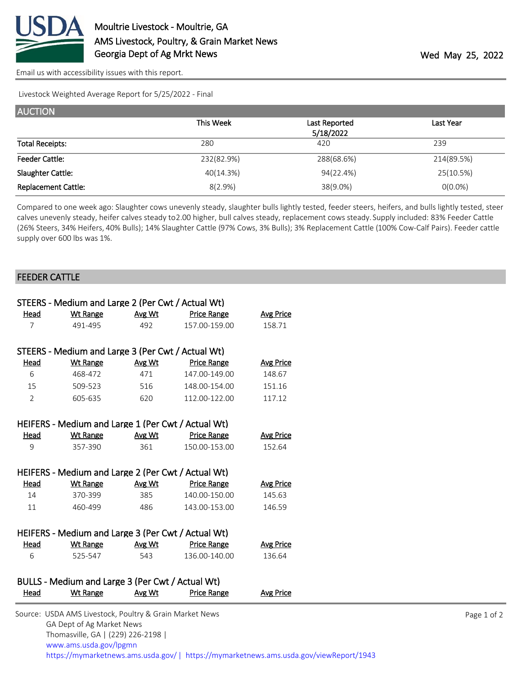

[Email us with accessibility issues with this report.](mailto:mars@ams.usda.gov?subject=508%20issue)

Livestock Weighted Average Report for 5/25/2022 - Final

| <b>AUCTION</b>             |            |               |            |
|----------------------------|------------|---------------|------------|
|                            | This Week  | Last Reported | Last Year  |
|                            |            | 5/18/2022     |            |
| <b>Total Receipts:</b>     | 280        | 420           | 239        |
| <b>Feeder Cattle:</b>      | 232(82.9%) | 288(68.6%)    | 214(89.5%) |
| Slaughter Cattle:          | 40(14.3%)  | 94(22.4%)     | 25(10.5%)  |
| <b>Replacement Cattle:</b> | $8(2.9\%)$ | 38(9.0%)      | $0(0.0\%)$ |

Compared to one week ago: Slaughter cows unevenly steady, slaughter bulls lightly tested, feeder steers, heifers, and bulls lightly tested, steer calves unevenly steady, heifer calves steady to 2.00 higher, bull calves steady, replacement cows steady. Supply included: 83% Feeder Cattle (26% Steers, 34% Heifers, 40% Bulls); 14% Slaughter Cattle (97% Cows, 3% Bulls); 3% Replacement Cattle (100% Cow-Calf Pairs). Feeder cattle supply over 600 lbs was 1%.

## FEEDER CATTLE

| STEERS - Medium and Large 2 (Per Cwt / Actual Wt)  |                                                    |        |                    |                  |  |  |  |  |
|----------------------------------------------------|----------------------------------------------------|--------|--------------------|------------------|--|--|--|--|
| <u>Head</u>                                        | <b>Wt Range</b>                                    | Avg Wt | <b>Price Range</b> | <b>Avg Price</b> |  |  |  |  |
| $\overline{7}$                                     | 491-495                                            | 492    | 157.00-159.00      | 158.71           |  |  |  |  |
|                                                    |                                                    |        |                    |                  |  |  |  |  |
|                                                    | STEERS - Medium and Large 3 (Per Cwt / Actual Wt)  |        |                    |                  |  |  |  |  |
| <b>Head</b>                                        | <b>Wt Range</b>                                    | Avg Wt | <b>Price Range</b> | <b>Avg Price</b> |  |  |  |  |
| 6                                                  | 468-472                                            | 471    | 147.00-149.00      | 148.67           |  |  |  |  |
| 15                                                 | 509-523                                            | 516    | 148.00-154.00      | 151.16           |  |  |  |  |
| $\overline{2}$                                     | 605-635                                            | 620    | 112.00-122.00      | 117.12           |  |  |  |  |
|                                                    |                                                    |        |                    |                  |  |  |  |  |
|                                                    | HEIFERS - Medium and Large 1 (Per Cwt / Actual Wt) |        |                    |                  |  |  |  |  |
| Head                                               | <b>Wt Range</b>                                    | Avg Wt | Price Range        | <b>Avg Price</b> |  |  |  |  |
| 9                                                  | 357-390                                            | 361    | 150.00-153.00      | 152.64           |  |  |  |  |
|                                                    |                                                    |        |                    |                  |  |  |  |  |
| HEIFERS - Medium and Large 2 (Per Cwt / Actual Wt) |                                                    |        |                    |                  |  |  |  |  |
| Head                                               | <b>Wt Range</b>                                    | Avg Wt | <u>Price Range</u> | <b>Avg Price</b> |  |  |  |  |
| 14                                                 | 370-399                                            | 385    | 140.00-150.00      | 145.63           |  |  |  |  |
| 11                                                 | 460-499                                            | 486    | 143.00-153.00      | 146.59           |  |  |  |  |
|                                                    |                                                    |        |                    |                  |  |  |  |  |
| HEIFERS - Medium and Large 3 (Per Cwt / Actual Wt) |                                                    |        |                    |                  |  |  |  |  |
| Head                                               | Wt Range                                           | Avg Wt | <b>Price Range</b> | <b>Avg Price</b> |  |  |  |  |
| 6                                                  | 525-547                                            | 543    | 136.00-140.00      | 136.64           |  |  |  |  |
|                                                    |                                                    |        |                    |                  |  |  |  |  |
| BULLS - Medium and Large 3 (Per Cwt / Actual Wt)   |                                                    |        |                    |                  |  |  |  |  |
| Head                                               | <b>Wt Range</b>                                    | Avg Wt | <b>Price Range</b> | <b>Avg Price</b> |  |  |  |  |
|                                                    |                                                    |        |                    |                  |  |  |  |  |

| Source: USDA AMS Livestock, Poultry & Grain Market News                               |
|---------------------------------------------------------------------------------------|
| GA Dept of Ag Market News                                                             |
| Thomasville, GA   (229) 226-2198                                                      |
| www.ams.usda.gov/lpgmn                                                                |
| https://mymarketnews.ams.usda.gov/  https://mymarketnews.ams.usda.gov/viewReport/1943 |